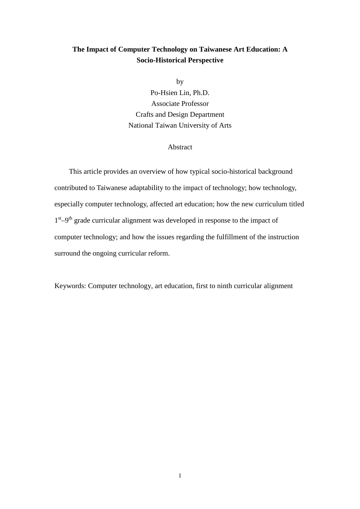# **The Impact of Computer Technology on Taiwanese Art Education: A Socio-Historical Perspective**

by

Po-Hsien Lin, Ph.D. Associate Professor Crafts and Design Department National Taiwan University of Arts

## Abstract

This article provides an overview of how typical socio-historical background contributed to Taiwanese adaptability to the impact of technology; how technology, especially computer technology, affected art education; how the new curriculum titled  $1<sup>st</sup> - 9<sup>th</sup>$  grade curricular alignment was developed in response to the impact of computer technology; and how the issues regarding the fulfillment of the instruction surround the ongoing curricular reform.

Keywords: Computer technology, art education, first to ninth curricular alignment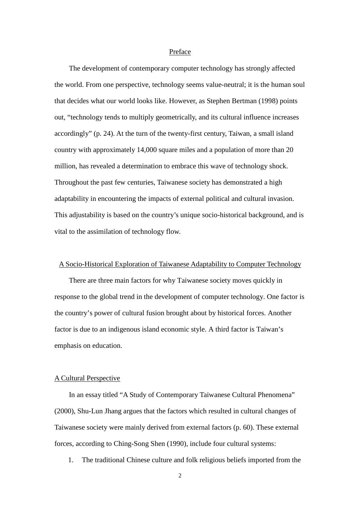## Preface

The development of contemporary computer technology has strongly affected the world. From one perspective, technology seems value-neutral; it is the human soul that decides what our world looks like. However, as Stephen Bertman (1998) points out, "technology tends to multiply geometrically, and its cultural influence increases accordingly" (p. 24). At the turn of the twenty-first century, Taiwan, a small island country with approximately 14,000 square miles and a population of more than 20 million, has revealed a determination to embrace this wave of technology shock. Throughout the past few centuries, Taiwanese society has demonstrated a high adaptability in encountering the impacts of external political and cultural invasion. This adjustability is based on the country's unique socio-historical background, and is vital to the assimilation of technology flow.

## A Socio-Historical Exploration of Taiwanese Adaptability to Computer Technology

There are three main factors for why Taiwanese society moves quickly in response to the global trend in the development of computer technology. One factor is the country's power of cultural fusion brought about by historical forces. Another factor is due to an indigenous island economic style. A third factor is Taiwan's emphasis on education.

#### A Cultural Perspective

In an essay titled "A Study of Contemporary Taiwanese Cultural Phenomena" (2000), Shu-Lun Jhang argues that the factors which resulted in cultural changes of Taiwanese society were mainly derived from external factors (p. 60). These external forces, according to Ching-Song Shen (1990), include four cultural systems:

1. The traditional Chinese culture and folk religious beliefs imported from the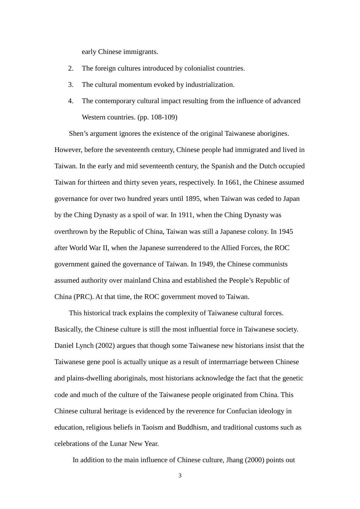early Chinese immigrants.

- 2. The foreign cultures introduced by colonialist countries.
- 3. The cultural momentum evoked by industrialization.
- 4. The contemporary cultural impact resulting from the influence of advanced Western countries. (pp. 108-109)

Shen's argument ignores the existence of the original Taiwanese aborigines. However, before the seventeenth century, Chinese people had immigrated and lived in Taiwan. In the early and mid seventeenth century, the Spanish and the Dutch occupied Taiwan for thirteen and thirty seven years, respectively. In 1661, the Chinese assumed governance for over two hundred years until 1895, when Taiwan was ceded to Japan by the Ching Dynasty as a spoil of war. In 1911, when the Ching Dynasty was overthrown by the Republic of China, Taiwan was still a Japanese colony. In 1945 after World War II, when the Japanese surrendered to the Allied Forces, the ROC government gained the governance of Taiwan. In 1949, the Chinese communists assumed authority over mainland China and established the People's Republic of China (PRC). At that time, the ROC government moved to Taiwan.

This historical track explains the complexity of Taiwanese cultural forces. Basically, the Chinese culture is still the most influential force in Taiwanese society. Daniel Lynch (2002) argues that though some Taiwanese new historians insist that the Taiwanese gene pool is actually unique as a result of intermarriage between Chinese and plains-dwelling aboriginals, most historians acknowledge the fact that the genetic code and much of the culture of the Taiwanese people originated from China. This Chinese cultural heritage is evidenced by the reverence for Confucian ideology in education, religious beliefs in Taoism and Buddhism, and traditional customs such as celebrations of the Lunar New Year.

In addition to the main influence of Chinese culture, Jhang (2000) points out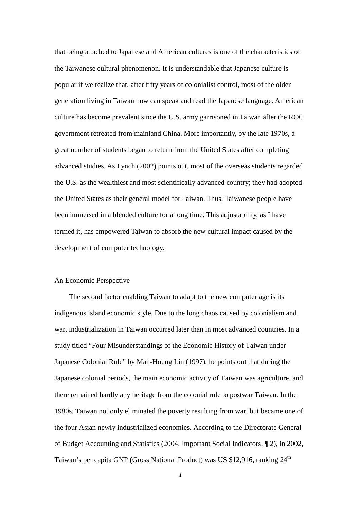that being attached to Japanese and American cultures is one of the characteristics of the Taiwanese cultural phenomenon. It is understandable that Japanese culture is popular if we realize that, after fifty years of colonialist control, most of the older generation living in Taiwan now can speak and read the Japanese language. American culture has become prevalent since the U.S. army garrisoned in Taiwan after the ROC government retreated from mainland China. More importantly, by the late 1970s, a great number of students began to return from the United States after completing advanced studies. As Lynch (2002) points out, most of the overseas students regarded the U.S. as the wealthiest and most scientifically advanced country; they had adopted the United States as their general model for Taiwan. Thus, Taiwanese people have been immersed in a blended culture for a long time. This adjustability, as I have termed it, has empowered Taiwan to absorb the new cultural impact caused by the development of computer technology.

## An Economic Perspective

The second factor enabling Taiwan to adapt to the new computer age is its indigenous island economic style. Due to the long chaos caused by colonialism and war, industrialization in Taiwan occurred later than in most advanced countries. In a study titled "Four Misunderstandings of the Economic History of Taiwan under Japanese Colonial Rule" by Man-Houng Lin (1997), he points out that during the Japanese colonial periods, the main economic activity of Taiwan was agriculture, and there remained hardly any heritage from the colonial rule to postwar Taiwan. In the 1980s, Taiwan not only eliminated the poverty resulting from war, but became one of the four Asian newly industrialized economies. According to the Directorate General of Budget Accounting and Statistics (2004, Important Social Indicators, ¶ 2), in 2002, Taiwan's per capita GNP (Gross National Product) was US \$12,916, ranking 24<sup>th</sup>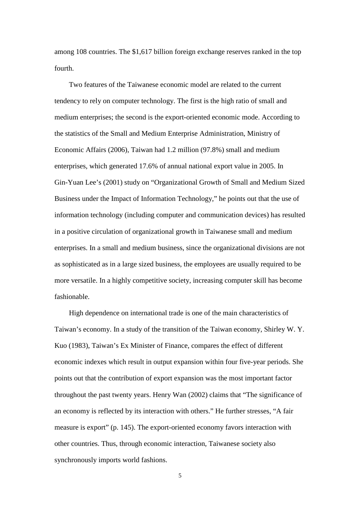among 108 countries. The \$1,617 billion foreign exchange reserves ranked in the top fourth.

Two features of the Taiwanese economic model are related to the current tendency to rely on computer technology. The first is the high ratio of small and medium enterprises; the second is the export-oriented economic mode. According to the statistics of the Small and Medium Enterprise Administration, Ministry of Economic Affairs (2006), Taiwan had 1.2 million (97.8%) small and medium enterprises, which generated 17.6% of annual national export value in 2005. In Gin-Yuan Lee's (2001) study on "Organizational Growth of Small and Medium Sized Business under the Impact of Information Technology," he points out that the use of information technology (including computer and communication devices) has resulted in a positive circulation of organizational growth in Taiwanese small and medium enterprises. In a small and medium business, since the organizational divisions are not as sophisticated as in a large sized business, the employees are usually required to be more versatile. In a highly competitive society, increasing computer skill has become fashionable.

High dependence on international trade is one of the main characteristics of Taiwan's economy. In a study of the transition of the Taiwan economy, Shirley W. Y. Kuo (1983), Taiwan's Ex Minister of Finance, compares the effect of different economic indexes which result in output expansion within four five-year periods. She points out that the contribution of export expansion was the most important factor throughout the past twenty years. Henry Wan (2002) claims that "The significance of an economy is reflected by its interaction with others." He further stresses, "A fair measure is export" (p. 145). The export-oriented economy favors interaction with other countries. Thus, through economic interaction, Taiwanese society also synchronously imports world fashions.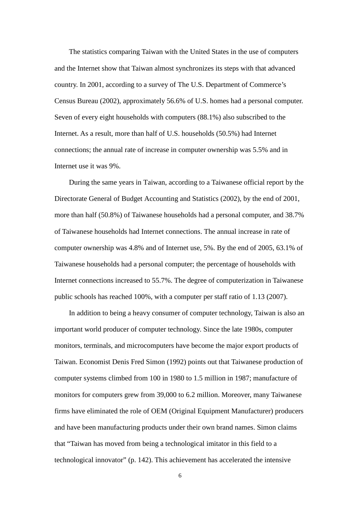The statistics comparing Taiwan with the United States in the use of computers and the Internet show that Taiwan almost synchronizes its steps with that advanced country. In 2001, according to a survey of The U.S. Department of Commerce's Census Bureau (2002), approximately 56.6% of U.S. homes had a personal computer. Seven of every eight households with computers (88.1%) also subscribed to the Internet. As a result, more than half of U.S. households (50.5%) had Internet connections; the annual rate of increase in computer ownership was 5.5% and in Internet use it was 9%.

During the same years in Taiwan, according to a Taiwanese official report by the Directorate General of Budget Accounting and Statistics (2002), by the end of 2001, more than half (50.8%) of Taiwanese households had a personal computer, and 38.7% of Taiwanese households had Internet connections. The annual increase in rate of computer ownership was 4.8% and of Internet use, 5%. By the end of 2005, 63.1% of Taiwanese households had a personal computer; the percentage of households with Internet connections increased to 55.7%. The degree of computerization in Taiwanese public schools has reached 100%, with a computer per staff ratio of 1.13 (2007).

In addition to being a heavy consumer of computer technology, Taiwan is also an important world producer of computer technology. Since the late 1980s, computer monitors, terminals, and microcomputers have become the major export products of Taiwan. Economist Denis Fred Simon (1992) points out that Taiwanese production of computer systems climbed from 100 in 1980 to 1.5 million in 1987; manufacture of monitors for computers grew from 39,000 to 6.2 million. Moreover, many Taiwanese firms have eliminated the role of OEM (Original Equipment Manufacturer) producers and have been manufacturing products under their own brand names. Simon claims that "Taiwan has moved from being a technological imitator in this field to a technological innovator" (p. 142). This achievement has accelerated the intensive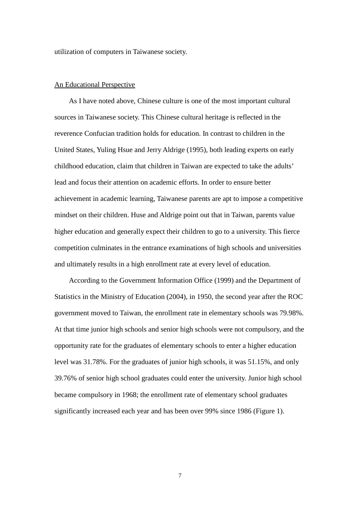utilization of computers in Taiwanese society.

## An Educational Perspective

As I have noted above, Chinese culture is one of the most important cultural sources in Taiwanese society. This Chinese cultural heritage is reflected in the reverence Confucian tradition holds for education. In contrast to children in the United States, Yuling Hsue and Jerry Aldrige (1995), both leading experts on early childhood education, claim that children in Taiwan are expected to take the adults' lead and focus their attention on academic efforts. In order to ensure better achievement in academic learning, Taiwanese parents are apt to impose a competitive mindset on their children. Huse and Aldrige point out that in Taiwan, parents value higher education and generally expect their children to go to a university. This fierce competition culminates in the entrance examinations of high schools and universities and ultimately results in a high enrollment rate at every level of education.

According to the Government Information Office (1999) and the Department of Statistics in the Ministry of Education (2004), in 1950, the second year after the ROC government moved to Taiwan, the enrollment rate in elementary schools was 79.98%. At that time junior high schools and senior high schools were not compulsory, and the opportunity rate for the graduates of elementary schools to enter a higher education level was 31.78%. For the graduates of junior high schools, it was 51.15%, and only 39.76% of senior high school graduates could enter the university. Junior high school became compulsory in 1968; the enrollment rate of elementary school graduates significantly increased each year and has been over 99% since 1986 (Figure 1).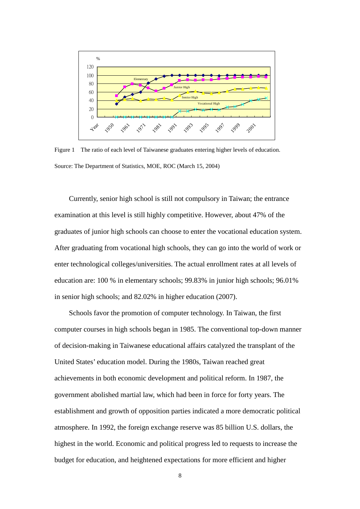

Figure 1 The ratio of each level of Taiwanese graduates entering higher levels of education. Source: The Department of Statistics, MOE, ROC (March 15, 2004)

Currently, senior high school is still not compulsory in Taiwan; the entrance examination at this level is still highly competitive. However, about 47% of the graduates of junior high schools can choose to enter the vocational education system. After graduating from vocational high schools, they can go into the world of work or enter technological colleges/universities. The actual enrollment rates at all levels of education are: 100 % in elementary schools; 99.83% in junior high schools; 96.01% in senior high schools; and 82.02% in higher education (2007).

Schools favor the promotion of computer technology. In Taiwan, the first computer courses in high schools began in 1985. The conventional top-down manner of decision-making in Taiwanese educational affairs catalyzed the transplant of the United States' education model. During the 1980s, Taiwan reached great achievements in both economic development and political reform. In 1987, the government abolished martial law, which had been in force for forty years. The establishment and growth of opposition parties indicated a more democratic political atmosphere. In 1992, the foreign exchange reserve was 85 billion U.S. dollars, the highest in the world. Economic and political progress led to requests to increase the budget for education, and heightened expectations for more efficient and higher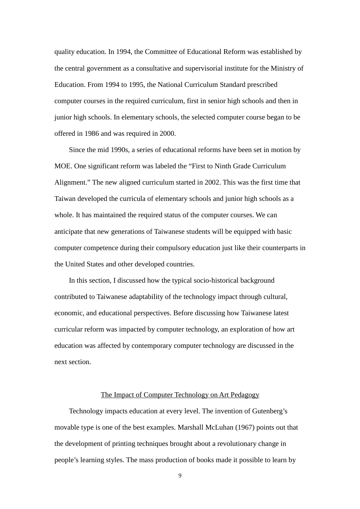quality education. In 1994, the Committee of Educational Reform was established by the central government as a consultative and supervisorial institute for the Ministry of Education. From 1994 to 1995, the National Curriculum Standard prescribed computer courses in the required curriculum, first in senior high schools and then in junior high schools. In elementary schools, the selected computer course began to be offered in 1986 and was required in 2000.

Since the mid 1990s, a series of educational reforms have been set in motion by MOE. One significant reform was labeled the "First to Ninth Grade Curriculum Alignment." The new aligned curriculum started in 2002. This was the first time that Taiwan developed the curricula of elementary schools and junior high schools as a whole. It has maintained the required status of the computer courses. We can anticipate that new generations of Taiwanese students will be equipped with basic computer competence during their compulsory education just like their counterparts in the United States and other developed countries.

In this section, I discussed how the typical socio-historical background contributed to Taiwanese adaptability of the technology impact through cultural, economic, and educational perspectives. Before discussing how Taiwanese latest curricular reform was impacted by computer technology, an exploration of how art education was affected by contemporary computer technology are discussed in the next section.

## The Impact of Computer Technology on Art Pedagogy

Technology impacts education at every level. The invention of Gutenberg's movable type is one of the best examples. Marshall McLuhan (1967) points out that the development of printing techniques brought about a revolutionary change in people's learning styles. The mass production of books made it possible to learn by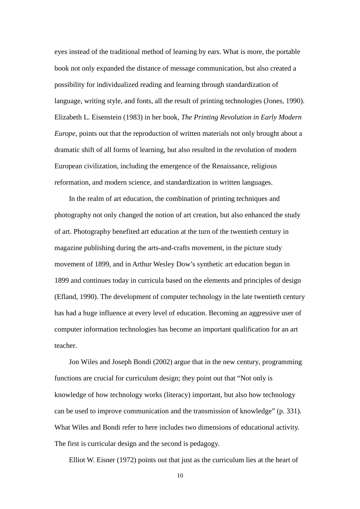eyes instead of the traditional method of learning by ears. What is more, the portable book not only expanded the distance of message communication, but also created a possibility for individualized reading and learning through standardization of language, writing style, and fonts, all the result of printing technologies (Jones, 1990). Elizabeth L. Eisenstein (1983) in her book, *The Printing Revolution in Early Modern Europe*, points out that the reproduction of written materials not only brought about a dramatic shift of all forms of learning, but also resulted in the revolution of modern European civilization, including the emergence of the Renaissance, religious reformation, and modern science, and standardization in written languages.

In the realm of art education, the combination of printing techniques and photography not only changed the notion of art creation, but also enhanced the study of art. Photography benefited art education at the turn of the twentieth century in magazine publishing during the arts-and-crafts movement, in the picture study movement of 1899, and in Arthur Wesley Dow's synthetic art education begun in 1899 and continues today in curricula based on the elements and principles of design (Efland, 1990). The development of computer technology in the late twentieth century has had a huge influence at every level of education. Becoming an aggressive user of computer information technologies has become an important qualification for an art teacher.

Jon Wiles and Joseph Bondi (2002) argue that in the new century, programming functions are crucial for curriculum design; they point out that "Not only is knowledge of how technology works (literacy) important, but also how technology can be used to improve communication and the transmission of knowledge" (p. 331). What Wiles and Bondi refer to here includes two dimensions of educational activity. The first is curricular design and the second is pedagogy.

Elliot W. Eisner (1972) points out that just as the curriculum lies at the heart of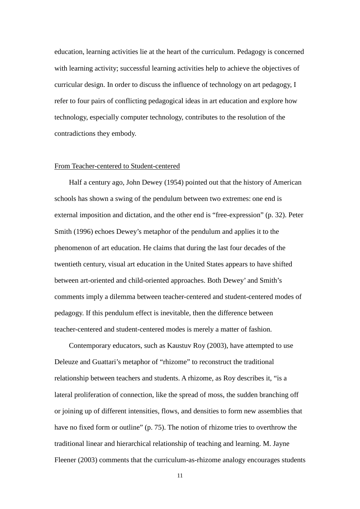education, learning activities lie at the heart of the curriculum. Pedagogy is concerned with learning activity; successful learning activities help to achieve the objectives of curricular design. In order to discuss the influence of technology on art pedagogy, I refer to four pairs of conflicting pedagogical ideas in art education and explore how technology, especially computer technology, contributes to the resolution of the contradictions they embody.

#### From Teacher-centered to Student-centered

Half a century ago, John Dewey (1954) pointed out that the history of American schools has shown a swing of the pendulum between two extremes: one end is external imposition and dictation, and the other end is "free-expression" (p. 32). Peter Smith (1996) echoes Dewey's metaphor of the pendulum and applies it to the phenomenon of art education. He claims that during the last four decades of the twentieth century, visual art education in the United States appears to have shifted between art-oriented and child-oriented approaches. Both Dewey' and Smith's comments imply a dilemma between teacher-centered and student-centered modes of pedagogy. If this pendulum effect is inevitable, then the difference between teacher-centered and student-centered modes is merely a matter of fashion.

Contemporary educators, such as Kaustuv Roy (2003), have attempted to use Deleuze and Guattari's metaphor of "rhizome" to reconstruct the traditional relationship between teachers and students. A rhizome, as Roy describes it, "is a lateral proliferation of connection, like the spread of moss, the sudden branching off or joining up of different intensities, flows, and densities to form new assemblies that have no fixed form or outline" (p. 75). The notion of rhizome tries to overthrow the traditional linear and hierarchical relationship of teaching and learning. M. Jayne Fleener (2003) comments that the curriculum-as-rhizome analogy encourages students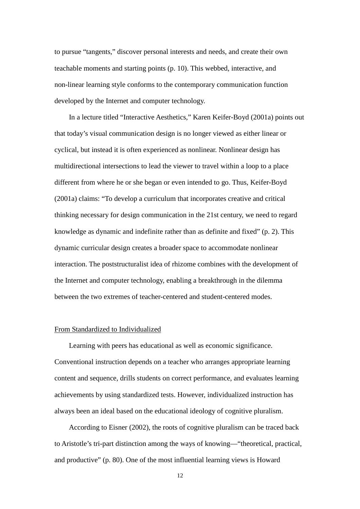to pursue "tangents," discover personal interests and needs, and create their own teachable moments and starting points (p. 10). This webbed, interactive, and non-linear learning style conforms to the contemporary communication function developed by the Internet and computer technology.

In a lecture titled "Interactive Aesthetics," Karen Keifer-Boyd (2001a) points out that today's visual communication design is no longer viewed as either linear or cyclical, but instead it is often experienced as nonlinear. Nonlinear design has multidirectional intersections to lead the viewer to travel within a loop to a place different from where he or she began or even intended to go. Thus, Keifer-Boyd (2001a) claims: "To develop a curriculum that incorporates creative and critical thinking necessary for design communication in the 21st century, we need to regard knowledge as dynamic and indefinite rather than as definite and fixed" (p. 2). This dynamic curricular design creates a broader space to accommodate nonlinear interaction. The poststructuralist idea of rhizome combines with the development of the Internet and computer technology, enabling a breakthrough in the dilemma between the two extremes of teacher-centered and student-centered modes.

# From Standardized to Individualized

Learning with peers has educational as well as economic significance. Conventional instruction depends on a teacher who arranges appropriate learning content and sequence, drills students on correct performance, and evaluates learning achievements by using standardized tests. However, individualized instruction has always been an ideal based on the educational ideology of cognitive pluralism.

According to Eisner (2002), the roots of cognitive pluralism can be traced back to Aristotle's tri-part distinction among the ways of knowing—"theoretical, practical, and productive" (p. 80). One of the most influential learning views is Howard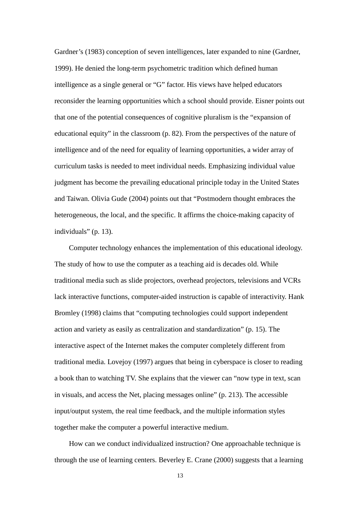Gardner's (1983) conception of seven intelligences, later expanded to nine (Gardner, 1999). He denied the long-term psychometric tradition which defined human intelligence as a single general or "G" factor. His views have helped educators reconsider the learning opportunities which a school should provide. Eisner points out that one of the potential consequences of cognitive pluralism is the "expansion of educational equity" in the classroom (p. 82). From the perspectives of the nature of intelligence and of the need for equality of learning opportunities, a wider array of curriculum tasks is needed to meet individual needs. Emphasizing individual value judgment has become the prevailing educational principle today in the United States and Taiwan. Olivia Gude (2004) points out that "Postmodern thought embraces the heterogeneous, the local, and the specific. It affirms the choice-making capacity of individuals" (p. 13).

Computer technology enhances the implementation of this educational ideology. The study of how to use the computer as a teaching aid is decades old. While traditional media such as slide projectors, overhead projectors, televisions and VCRs lack interactive functions, computer-aided instruction is capable of interactivity. Hank Bromley (1998) claims that "computing technologies could support independent action and variety as easily as centralization and standardization" (p. 15). The interactive aspect of the Internet makes the computer completely different from traditional media. Lovejoy (1997) argues that being in cyberspace is closer to reading a book than to watching TV. She explains that the viewer can "now type in text, scan in visuals, and access the Net, placing messages online" (p. 213). The accessible input/output system, the real time feedback, and the multiple information styles together make the computer a powerful interactive medium.

How can we conduct individualized instruction? One approachable technique is through the use of learning centers. Beverley E. Crane (2000) suggests that a learning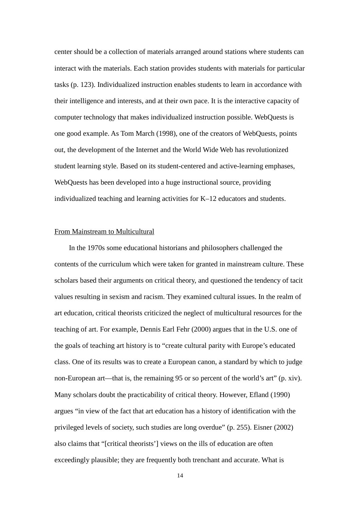center should be a collection of materials arranged around stations where students can interact with the materials. Each station provides students with materials for particular tasks (p. 123). Individualized instruction enables students to learn in accordance with their intelligence and interests, and at their own pace. It is the interactive capacity of computer technology that makes individualized instruction possible. WebQuests is one good example. As Tom March (1998), one of the creators of WebQuests, points out, the development of the Internet and the World Wide Web has revolutionized student learning style. Based on its student-centered and active-learning emphases, WebQuests has been developed into a huge instructional source, providing individualized teaching and learning activities for K–12 educators and students.

## From Mainstream to Multicultural

In the 1970s some educational historians and philosophers challenged the contents of the curriculum which were taken for granted in mainstream culture. These scholars based their arguments on critical theory, and questioned the tendency of tacit values resulting in sexism and racism. They examined cultural issues. In the realm of art education, critical theorists criticized the neglect of multicultural resources for the teaching of art. For example, Dennis Earl Fehr (2000) argues that in the U.S. one of the goals of teaching art history is to "create cultural parity with Europe's educated class. One of its results was to create a European canon, a standard by which to judge non-European art—that is, the remaining 95 or so percent of the world's art" (p. xiv). Many scholars doubt the practicability of critical theory. However, Efland (1990) argues "in view of the fact that art education has a history of identification with the privileged levels of society, such studies are long overdue" (p. 255). Eisner (2002) also claims that "[critical theorists'] views on the ills of education are often exceedingly plausible; they are frequently both trenchant and accurate. What is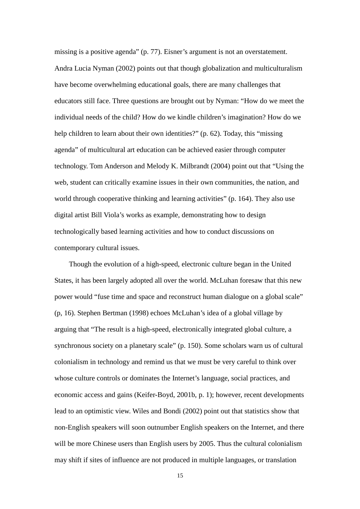missing is a positive agenda" (p. 77). Eisner's argument is not an overstatement. Andra Lucia Nyman (2002) points out that though globalization and multiculturalism have become overwhelming educational goals, there are many challenges that educators still face. Three questions are brought out by Nyman: "How do we meet the individual needs of the child? How do we kindle children's imagination? How do we help children to learn about their own identities?" (p. 62). Today, this "missing agenda" of multicultural art education can be achieved easier through computer technology. Tom Anderson and Melody K. Milbrandt (2004) point out that "Using the web, student can critically examine issues in their own communities, the nation, and world through cooperative thinking and learning activities" (p. 164). They also use digital artist Bill Viola's works as example, demonstrating how to design technologically based learning activities and how to conduct discussions on contemporary cultural issues.

Though the evolution of a high-speed, electronic culture began in the United States, it has been largely adopted all over the world. McLuhan foresaw that this new power would "fuse time and space and reconstruct human dialogue on a global scale" (p, 16). Stephen Bertman (1998) echoes McLuhan's idea of a global village by arguing that "The result is a high-speed, electronically integrated global culture, a synchronous society on a planetary scale" (p. 150). Some scholars warn us of cultural colonialism in technology and remind us that we must be very careful to think over whose culture controls or dominates the Internet's language, social practices, and economic access and gains (Keifer-Boyd, 2001b, p. 1); however, recent developments lead to an optimistic view. Wiles and Bondi (2002) point out that statistics show that non-English speakers will soon outnumber English speakers on the Internet, and there will be more Chinese users than English users by 2005. Thus the cultural colonialism may shift if sites of influence are not produced in multiple languages, or translation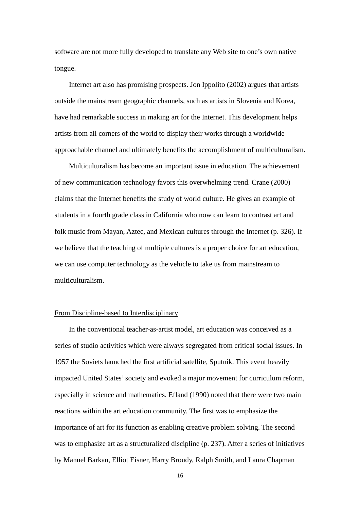software are not more fully developed to translate any Web site to one's own native tongue.

Internet art also has promising prospects. Jon Ippolito (2002) argues that artists outside the mainstream geographic channels, such as artists in Slovenia and Korea, have had remarkable success in making art for the Internet. This development helps artists from all corners of the world to display their works through a worldwide approachable channel and ultimately benefits the accomplishment of multiculturalism.

Multiculturalism has become an important issue in education. The achievement of new communication technology favors this overwhelming trend. Crane (2000) claims that the Internet benefits the study of world culture. He gives an example of students in a fourth grade class in California who now can learn to contrast art and folk music from Mayan, Aztec, and Mexican cultures through the Internet (p. 326). If we believe that the teaching of multiple cultures is a proper choice for art education, we can use computer technology as the vehicle to take us from mainstream to multiculturalism.

## From Discipline-based to Interdisciplinary

In the conventional teacher-as-artist model, art education was conceived as a series of studio activities which were always segregated from critical social issues. In 1957 the Soviets launched the first artificial satellite, Sputnik. This event heavily impacted United States' society and evoked a major movement for curriculum reform, especially in science and mathematics. Efland (1990) noted that there were two main reactions within the art education community. The first was to emphasize the importance of art for its function as enabling creative problem solving. The second was to emphasize art as a structuralized discipline (p. 237). After a series of initiatives by Manuel Barkan, Elliot Eisner, Harry Broudy, Ralph Smith, and Laura Chapman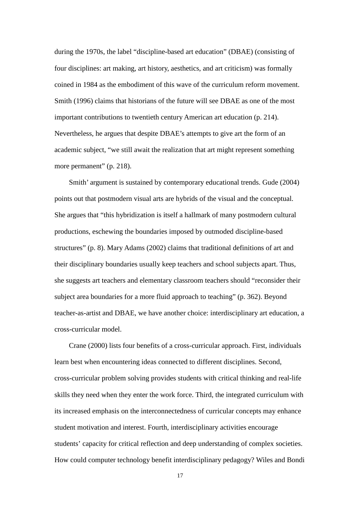during the 1970s, the label "discipline-based art education" (DBAE) (consisting of four disciplines: art making, art history, aesthetics, and art criticism) was formally coined in 1984 as the embodiment of this wave of the curriculum reform movement. Smith (1996) claims that historians of the future will see DBAE as one of the most important contributions to twentieth century American art education (p. 214). Nevertheless, he argues that despite DBAE's attempts to give art the form of an academic subject, "we still await the realization that art might represent something more permanent" (p. 218).

Smith' argument is sustained by contemporary educational trends. Gude (2004) points out that postmodern visual arts are hybrids of the visual and the conceptual. She argues that "this hybridization is itself a hallmark of many postmodern cultural productions, eschewing the boundaries imposed by outmoded discipline-based structures" (p. 8). Mary Adams (2002) claims that traditional definitions of art and their disciplinary boundaries usually keep teachers and school subjects apart. Thus, she suggests art teachers and elementary classroom teachers should "reconsider their subject area boundaries for a more fluid approach to teaching" (p. 362). Beyond teacher-as-artist and DBAE, we have another choice: interdisciplinary art education, a cross-curricular model.

Crane (2000) lists four benefits of a cross-curricular approach. First, individuals learn best when encountering ideas connected to different disciplines. Second, cross-curricular problem solving provides students with critical thinking and real-life skills they need when they enter the work force. Third, the integrated curriculum with its increased emphasis on the interconnectedness of curricular concepts may enhance student motivation and interest. Fourth, interdisciplinary activities encourage students' capacity for critical reflection and deep understanding of complex societies. How could computer technology benefit interdisciplinary pedagogy? Wiles and Bondi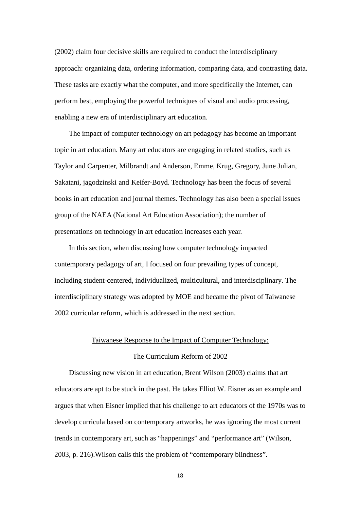(2002) claim four decisive skills are required to conduct the interdisciplinary approach: organizing data, ordering information, comparing data, and contrasting data. These tasks are exactly what the computer, and more specifically the Internet, can perform best, employing the powerful techniques of visual and audio processing, enabling a new era of interdisciplinary art education.

The impact of computer technology on art pedagogy has become an important topic in art education. Many art educators are engaging in related studies, such as Taylor and Carpenter, Milbrandt and Anderson, Emme, Krug, Gregory, June Julian, Sakatani, jagodzinski and Keifer-Boyd. Technology has been the focus of several books in art education and journal themes. Technology has also been a special issues group of the NAEA (National Art Education Association); the number of presentations on technology in art education increases each year.

In this section, when discussing how computer technology impacted contemporary pedagogy of art, I focused on four prevailing types of concept, including student-centered, individualized, multicultural, and interdisciplinary. The interdisciplinary strategy was adopted by MOE and became the pivot of Taiwanese 2002 curricular reform, which is addressed in the next section.

# Taiwanese Response to the Impact of Computer Technology:

## The Curriculum Reform of 2002

Discussing new vision in art education, Brent Wilson (2003) claims that art educators are apt to be stuck in the past. He takes Elliot W. Eisner as an example and argues that when Eisner implied that his challenge to art educators of the 1970s was to develop curricula based on contemporary artworks, he was ignoring the most current trends in contemporary art, such as "happenings" and "performance art" (Wilson, 2003, p. 216).Wilson calls this the problem of "contemporary blindness".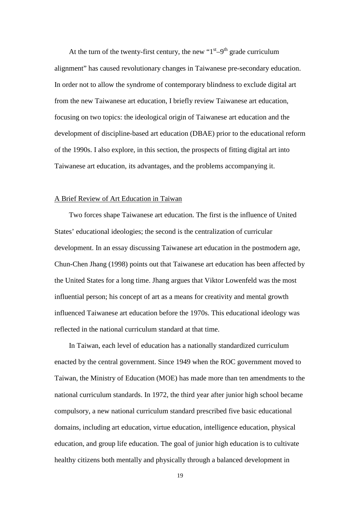At the turn of the twenty-first century, the new " $1<sup>st</sup> - 9<sup>th</sup>$  grade curriculum alignment" has caused revolutionary changes in Taiwanese pre-secondary education. In order not to allow the syndrome of contemporary blindness to exclude digital art from the new Taiwanese art education, I briefly review Taiwanese art education, focusing on two topics: the ideological origin of Taiwanese art education and the development of discipline-based art education (DBAE) prior to the educational reform of the 1990s. I also explore, in this section, the prospects of fitting digital art into Taiwanese art education, its advantages, and the problems accompanying it.

## A Brief Review of Art Education in Taiwan

Two forces shape Taiwanese art education. The first is the influence of United States' educational ideologies; the second is the centralization of curricular development. In an essay discussing Taiwanese art education in the postmodern age, Chun-Chen Jhang (1998) points out that Taiwanese art education has been affected by the United States for a long time. Jhang argues that Viktor Lowenfeld was the most influential person; his concept of art as a means for creativity and mental growth influenced Taiwanese art education before the 1970s. This educational ideology was reflected in the national curriculum standard at that time.

In Taiwan, each level of education has a nationally standardized curriculum enacted by the central government. Since 1949 when the ROC government moved to Taiwan, the Ministry of Education (MOE) has made more than ten amendments to the national curriculum standards. In 1972, the third year after junior high school became compulsory, a new national curriculum standard prescribed five basic educational domains, including art education, virtue education, intelligence education, physical education, and group life education. The goal of junior high education is to cultivate healthy citizens both mentally and physically through a balanced development in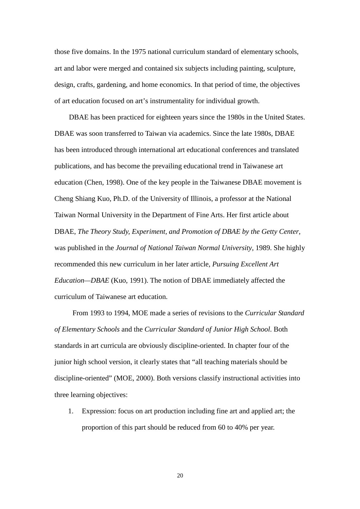those five domains. In the 1975 national curriculum standard of elementary schools, art and labor were merged and contained six subjects including painting, sculpture, design, crafts, gardening, and home economics. In that period of time, the objectives of art education focused on art's instrumentality for individual growth.

DBAE has been practiced for eighteen years since the 1980s in the United States. DBAE was soon transferred to Taiwan via academics. Since the late 1980s, DBAE has been introduced through international art educational conferences and translated publications, and has become the prevailing educational trend in Taiwanese art education (Chen, 1998). One of the key people in the Taiwanese DBAE movement is Cheng Shiang Kuo, Ph.D. of the University of Illinois, a professor at the National Taiwan Normal University in the Department of Fine Arts. Her first article about DBAE, *The Theory Study, Experiment, and Promotion of DBAE by the Getty Center*, was published in the *Journal of National Taiwan Normal University*, 1989. She highly recommended this new curriculum in her later article, *Pursuing Excellent Art Education—DBAE* (Kuo, 1991). The notion of DBAE immediately affected the curriculum of Taiwanese art education.

 From 1993 to 1994, MOE made a series of revisions to the *Curricular Standard of Elementary Schools* and the *Curricular Standard of Junior High School*. Both standards in art curricula are obviously discipline-oriented. In chapter four of the junior high school version, it clearly states that "all teaching materials should be discipline-oriented" (MOE, 2000). Both versions classify instructional activities into three learning objectives:

1. Expression: focus on art production including fine art and applied art; the proportion of this part should be reduced from 60 to 40% per year.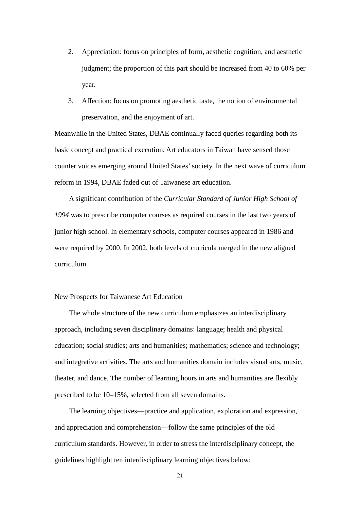- 2. Appreciation: focus on principles of form, aesthetic cognition, and aesthetic judgment; the proportion of this part should be increased from 40 to 60% per year.
- 3. Affection: focus on promoting aesthetic taste, the notion of environmental preservation, and the enjoyment of art.

Meanwhile in the United States, DBAE continually faced queries regarding both its basic concept and practical execution. Art educators in Taiwan have sensed those counter voices emerging around United States' society. In the next wave of curriculum reform in 1994, DBAE faded out of Taiwanese art education.

A significant contribution of the *Curricular Standard of Junior High School of 1994* was to prescribe computer courses as required courses in the last two years of junior high school. In elementary schools, computer courses appeared in 1986 and were required by 2000. In 2002, both levels of curricula merged in the new aligned curriculum.

## New Prospects for Taiwanese Art Education

The whole structure of the new curriculum emphasizes an interdisciplinary approach, including seven disciplinary domains: language; health and physical education; social studies; arts and humanities; mathematics; science and technology; and integrative activities. The arts and humanities domain includes visual arts, music, theater, and dance. The number of learning hours in arts and humanities are flexibly prescribed to be 10–15%, selected from all seven domains.

The learning objectives—practice and application, exploration and expression, and appreciation and comprehension—follow the same principles of the old curriculum standards. However, in order to stress the interdisciplinary concept, the guidelines highlight ten interdisciplinary learning objectives below: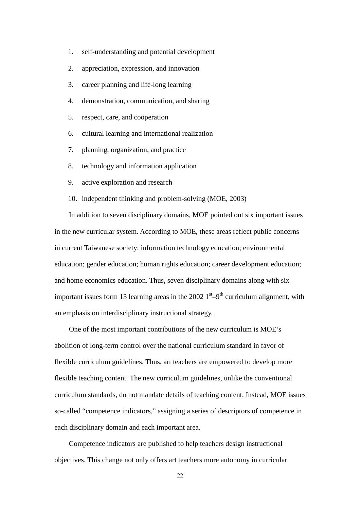- 1. self-understanding and potential development
- 2. appreciation, expression, and innovation
- 3. career planning and life-long learning
- 4. demonstration, communication, and sharing
- 5. respect, care, and cooperation
- 6. cultural learning and international realization
- 7. planning, organization, and practice
- 8. technology and information application
- 9. active exploration and research
- 10. independent thinking and problem-solving (MOE, 2003)

In addition to seven disciplinary domains, MOE pointed out six important issues in the new curricular system. According to MOE, these areas reflect public concerns in current Taiwanese society: information technology education; environmental education; gender education; human rights education; career development education; and home economics education. Thus, seven disciplinary domains along with six important issues form 13 learning areas in the 2002  $1<sup>st</sup> - 9<sup>th</sup>$  curriculum alignment, with an emphasis on interdisciplinary instructional strategy.

One of the most important contributions of the new curriculum is MOE's abolition of long-term control over the national curriculum standard in favor of flexible curriculum guidelines. Thus, art teachers are empowered to develop more flexible teaching content. The new curriculum guidelines, unlike the conventional curriculum standards, do not mandate details of teaching content. Instead, MOE issues so-called "competence indicators," assigning a series of descriptors of competence in each disciplinary domain and each important area.

Competence indicators are published to help teachers design instructional objectives. This change not only offers art teachers more autonomy in curricular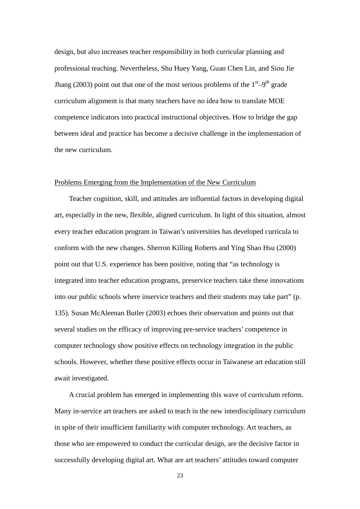design, but also increases teacher responsibility in both curricular planning and professional teaching. Nevertheless, Shu Huey Yang, Guan Chen Lin, and Siou Jie Jhang (2003) point out that one of the most serious problems of the  $1<sup>st</sup>-9<sup>th</sup>$  grade curriculum alignment is that many teachers have no idea how to translate MOE competence indicators into practical instructional objectives. How to bridge the gap between ideal and practice has become a decisive challenge in the implementation of the new curriculum.

# Problems Emerging from the Implementation of the New Curriculum

Teacher cognition, skill, and attitudes are influential factors in developing digital art, especially in the new, flexible, aligned curriculum. In light of this situation, almost every teacher education program in Taiwan's universities has developed curricula to conform with the new changes. Sherron Killing Roberts and Ying Shao Hsu (2000) point out that U.S. experience has been positive, noting that "as technology is integrated into teacher education programs, preservice teachers take these innovations into our public schools where inservice teachers and their students may take part" (p. 135). Susan McAleenan Butler (2003) echoes their observation and points out that several studies on the efficacy of improving pre-service teachers' competence in computer technology show positive effects on technology integration in the public schools. However, whether these positive effects occur in Taiwanese art education still await investigated.

A crucial problem has emerged in implementing this wave of curriculum reform. Many in-service art teachers are asked to teach in the new interdisciplinary curriculum in spite of their insufficient familiarity with computer technology. Art teachers, as those who are empowered to conduct the curricular design, are the decisive factor in successfully developing digital art. What are art teachers' attitudes toward computer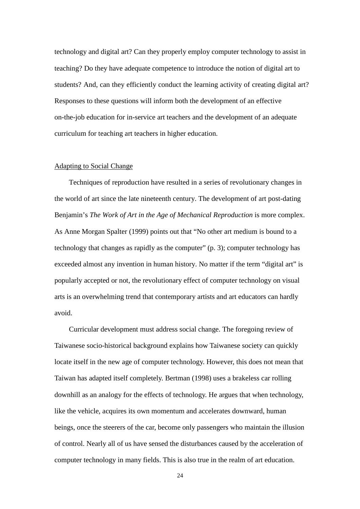technology and digital art? Can they properly employ computer technology to assist in teaching? Do they have adequate competence to introduce the notion of digital art to students? And, can they efficiently conduct the learning activity of creating digital art? Responses to these questions will inform both the development of an effective on-the-job education for in-service art teachers and the development of an adequate curriculum for teaching art teachers in higher education.

#### Adapting to Social Change

Techniques of reproduction have resulted in a series of revolutionary changes in the world of art since the late nineteenth century. The development of art post-dating Benjamin's *The Work of Art in the Age of Mechanical Reproduction* is more complex. As Anne Morgan Spalter (1999) points out that "No other art medium is bound to a technology that changes as rapidly as the computer" (p. 3); computer technology has exceeded almost any invention in human history. No matter if the term "digital art" is popularly accepted or not, the revolutionary effect of computer technology on visual arts is an overwhelming trend that contemporary artists and art educators can hardly avoid.

Curricular development must address social change. The foregoing review of Taiwanese socio-historical background explains how Taiwanese society can quickly locate itself in the new age of computer technology. However, this does not mean that Taiwan has adapted itself completely. Bertman (1998) uses a brakeless car rolling downhill as an analogy for the effects of technology. He argues that when technology, like the vehicle, acquires its own momentum and accelerates downward, human beings, once the steerers of the car, become only passengers who maintain the illusion of control. Nearly all of us have sensed the disturbances caused by the acceleration of computer technology in many fields. This is also true in the realm of art education.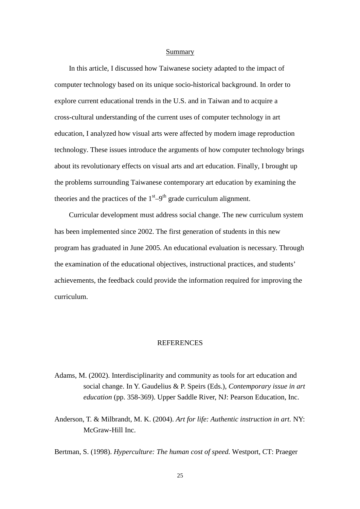#### Summary

In this article, I discussed how Taiwanese society adapted to the impact of computer technology based on its unique socio-historical background. In order to explore current educational trends in the U.S. and in Taiwan and to acquire a cross-cultural understanding of the current uses of computer technology in art education, I analyzed how visual arts were affected by modern image reproduction technology. These issues introduce the arguments of how computer technology brings about its revolutionary effects on visual arts and art education. Finally, I brought up the problems surrounding Taiwanese contemporary art education by examining the theories and the practices of the  $1<sup>st</sup>-9<sup>th</sup>$  grade curriculum alignment.

Curricular development must address social change. The new curriculum system has been implemented since 2002. The first generation of students in this new program has graduated in June 2005. An educational evaluation is necessary. Through the examination of the educational objectives, instructional practices, and students' achievements, the feedback could provide the information required for improving the curriculum.

## **REFERENCES**

- Adams, M. (2002). Interdisciplinarity and community as tools for art education and social change. In Y. Gaudelius & P. Speirs (Eds.), *Contemporary issue in art education* (pp. 358-369). Upper Saddle River, NJ: Pearson Education, Inc.
- Anderson, T. & Milbrandt, M. K. (2004). *Art for life: Authentic instruction in art.* NY: McGraw-Hill Inc.

Bertman, S. (1998). *Hyperculture: The human cost of speed.* Westport, CT: Praeger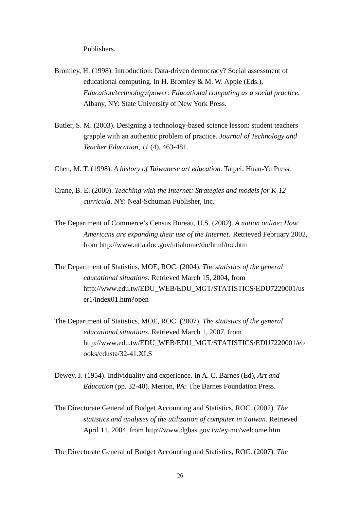Publishers.

- Bromley, H. (1998). Introduction: Data-driven democracy? Social assessment of educational computing. In H. Bromley & M. W. Apple (Eds.), *Education/technology/power: Educational computing as a social practice*. Albany, NY: State University of New York Press.
- Butler, S. M. (2003). Designing a technology-based science lesson: student teachers grapple with an authentic problem of practice. *Journal of Technology and Teacher Education, 11* (4), 463-481.
- Chen, M. T. (1998). *A history of Taiwanese art education.* Taipei: Huan-Yu Press.
- Crane, B. E. (2000). *Teaching with the Internet: Strategies and models for K-12 curricula*. NY: Neal-Schuman Publisher, Inc.
- The Department of Commerce's Census Bureau, U.S. (2002). *A nation online: How Americans are expanding their use of the Internet*. Retrieved February 2002, from http://www.ntia.doc.gov/ntiahome/dn/html/toc.htm
- The Department of Statistics, MOE, ROC. (2004). *The statistics of the general educational situations*. Retrieved March 15, 2004, from http://www.edu.tw/EDU\_WEB/EDU\_MGT/STATISTICS/EDU7220001/us er1/index01.htm?open
- The Department of Statistics, MOE, ROC. (2007). *The statistics of the general educational situations*. Retrieved March 1, 2007, from http://www.edu.tw/EDU\_WEB/EDU\_MGT/STATISTICS/EDU7220001/eb ooks/edusta/32-41.XLS
- Dewey, J. (1954). Individuality and experience. In A. C. Barnes (Ed), *Art and Education* (pp. 32-40). Merion, PA: The Barnes Foundation Press.
- The Directorate General of Budget Accounting and Statistics, ROC. (2002). *The statistics and analyses of the utilization of computer in Taiwan*. Retrieved April 11, 2004, from http://www.dgbas.gov.tw/eyimc/welcome.htm

The Directorate General of Budget Accounting and Statistics, ROC. (2007). *The*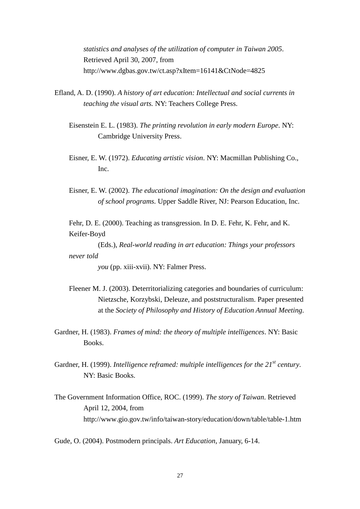*statistics and analyses of the utilization of computer in Taiwan 2005*. Retrieved April 30, 2007, from http://www.dgbas.gov.tw/ct.asp?xItem=16141&CtNode=4825

- Efland, A. D. (1990). *A history of art education: Intellectual and social currents in teaching the visual arts.* NY: Teachers College Press.
	- Eisenstein E. L. (1983). *The printing revolution in early modern Europe*. NY: Cambridge University Press.
	- Eisner, E. W. (1972). *Educating artistic vision*. NY: Macmillan Publishing Co., Inc.
	- Eisner, E. W. (2002). *The educational imagination: On the design and evaluation of school programs.* Upper Saddle River, NJ: Pearson Education, Inc.

Fehr, D. E. (2000). Teaching as transgression. In D. E. Fehr, K. Fehr, and K. Keifer-Boyd

(Eds.), *Real-world reading in art education: Things your professors never told* 

*you* (pp. xiii-xvii). NY: Falmer Press.

- Fleener M. J. (2003). Deterritorializing categories and boundaries of curriculum: Nietzsche, Korzybski, Deleuze, and poststructuralism. Paper presented at the *Society of Philosophy and History of Education Annual Meeting*.
- Gardner, H. (1983). *Frames of mind: the theory of multiple intelligences*. NY: Basic Books.
- Gardner, H. (1999). *Intelligence reframed: multiple intelligences for the 21st century*. NY: Basic Books.
- The Government Information Office, ROC. (1999). *The story of Taiwan*. Retrieved April 12, 2004, from http://www.gio.gov.tw/info/taiwan-story/education/down/table/table-1.htm

Gude, O. (2004). Postmodern principals. *Art Education*, January, 6-14.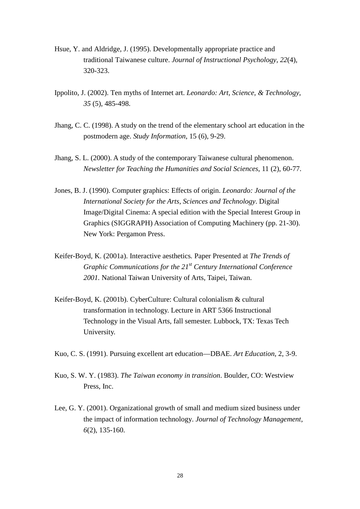- Hsue, Y. and Aldridge, J. (1995). Developmentally appropriate practice and traditional Taiwanese culture. *Journal of Instructional Psychology*, *22*(4), 320-323.
- Ippolito, J. (2002). Ten myths of Internet art. *Leonardo: Art, Science, & Technology*, *35* (5), 485-498.
- Jhang, C. C. (1998). A study on the trend of the elementary school art education in the postmodern age. *Study Information*, 15 (6), 9-29.
- Jhang, S. L. (2000). A study of the contemporary Taiwanese cultural phenomenon. *Newsletter for Teaching the Humanities and Social Sciences*, 11 (2), 60-77.
- Jones, B. J. (1990). Computer graphics: Effects of origin. *Leonardo: Journal of the International Society for the Arts, Sciences and Technology*. Digital Image/Digital Cinema: A special edition with the Special Interest Group in Graphics (SIGGRAPH) Association of Computing Machinery (pp. 21-30). New York: Pergamon Press.
- Keifer-Boyd, K. (2001a). Interactive aesthetics*.* Paper Presented at *The Trends of Graphic Communications for the 21st Century International Conference 2001.* National Taiwan University of Arts, Taipei, Taiwan.
- Keifer-Boyd, K. (2001b). CyberCulture: Cultural colonialism & cultural transformation in technology. Lecture in ART 5366 Instructional Technology in the Visual Arts, fall semester. Lubbock, TX: Texas Tech University.
- Kuo, C. S. (1991). Pursuing excellent art education—DBAE. *Art Education*, 2, 3-9.
- Kuo, S. W. Y. (1983). *The Taiwan economy in transition*. Boulder, CO: Westview Press, Inc.
- Lee, G. Y. (2001). Organizational growth of small and medium sized business under the impact of information technology. *Journal of Technology Management*, *6*(2), 135-160.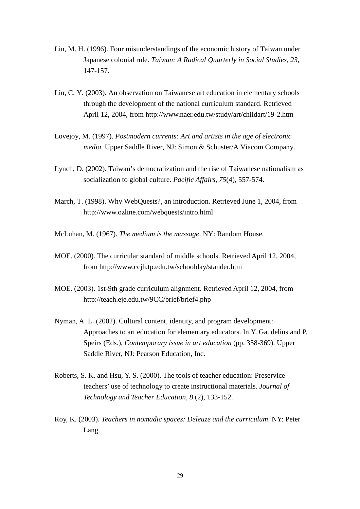- Lin, M. H. (1996). Four misunderstandings of the economic history of Taiwan under Japanese colonial rule. *Taiwan: A Radical Quarterly in Social Studies*, *23*, 147-157.
- Liu, C. Y. (2003). An observation on Taiwanese art education in elementary schools through the development of the national curriculum standard. Retrieved April 12, 2004, from http://www.naer.edu.tw/study/art/childart/19-2.htm
- Lovejoy, M. (1997). *Postmodern currents: Art and artists in the age of electronic media.* Upper Saddle River, NJ: Simon & Schuster/A Viacom Company.
- Lynch, D. (2002). Taiwan's democratization and the rise of Taiwanese nationalism as socialization to global culture. *Pacific Affairs*, *75*(4), 557-574.
- March, T. (1998). Why WebQuests?, an introduction. Retrieved June 1, 2004, from http://www.ozline.com/webquests/intro.html
- McLuhan, M. (1967). *The medium is the massage*. NY: Random House.
- MOE. (2000). The curricular standard of middle schools. Retrieved April 12, 2004, from http://www.ccjh.tp.edu.tw/schoolday/stander.htm
- MOE. (2003). 1st-9th grade curriculum alignment. Retrieved April 12, 2004, from http://teach.eje.edu.tw/9CC/brief/brief4.php
- Nyman, A. L. (2002). Cultural content, identity, and program development: Approaches to art education for elementary educators. In Y. Gaudelius and P. Speirs (Eds.), *Contemporary issue in art education* (pp. 358-369). Upper Saddle River, NJ: Pearson Education, Inc.
- Roberts, S. K. and Hsu, Y. S. (2000). The tools of teacher education: Preservice teachers' use of technology to create instructional materials. *Journal of Technology and Teacher Education, 8* (2), 133-152.
- Roy, K. (2003). *Teachers in nomadic spaces: Deleuze and the curriculum*. NY: Peter Lang.